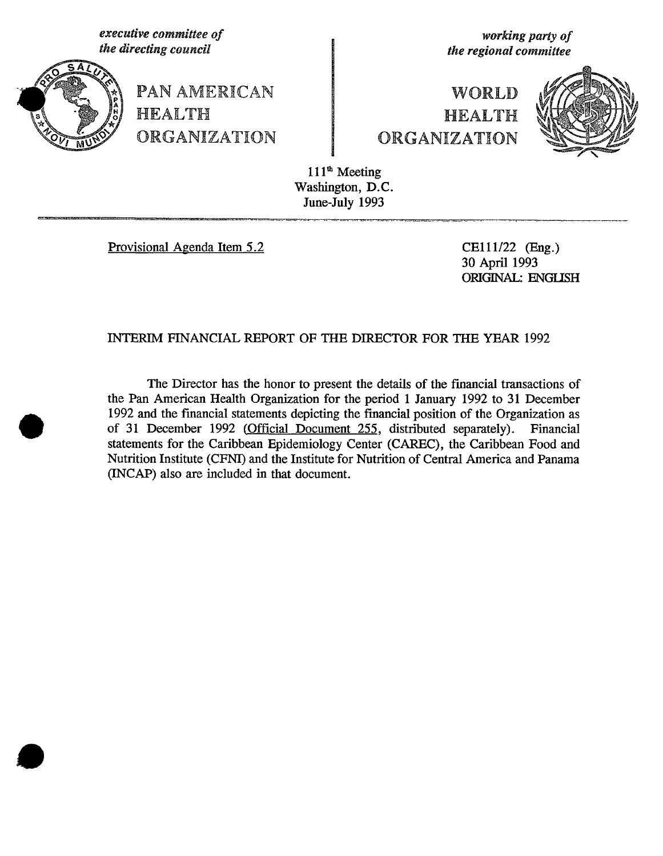executive committee of the directing committee of the directing council the directing council the **committee** 



PAN AMERICAN **HEALTH** ORGANIZATI©N ORGANIZATION

t**he dire**c**ti**n**g** co**uncil the regional committee**

# WORLD **HEALTH**



111<sup>th</sup> Meeting Washington, D.C. June-July 1993

Provisional Agenda Item 5.2 CE111/22 (Eng.)

3O April 1993 ORIGINAL: ENG**L**ISH

# INTERIM FINANCIAL REPORT OF THE DIRECTOR FOR THE YEAR 1992

The Director has the honor to present the details of the financial transactions of the Pan American Health Organization for the period 1 January 1992 to 31 December 1992 and the financial statements depicting the financial position of the Organization as of 31 December 1992 (Official Document 255, distributed separately). Financial of 31 December 1992 (Official Document 255, distributed separately). statements for the Caribbean Epidemiology Center (CAREC), the Caribbean Food and Nutrition Institute (CFNI) and the Institute for Nutrition of Central America and Panama (INCAP) also are included in that document.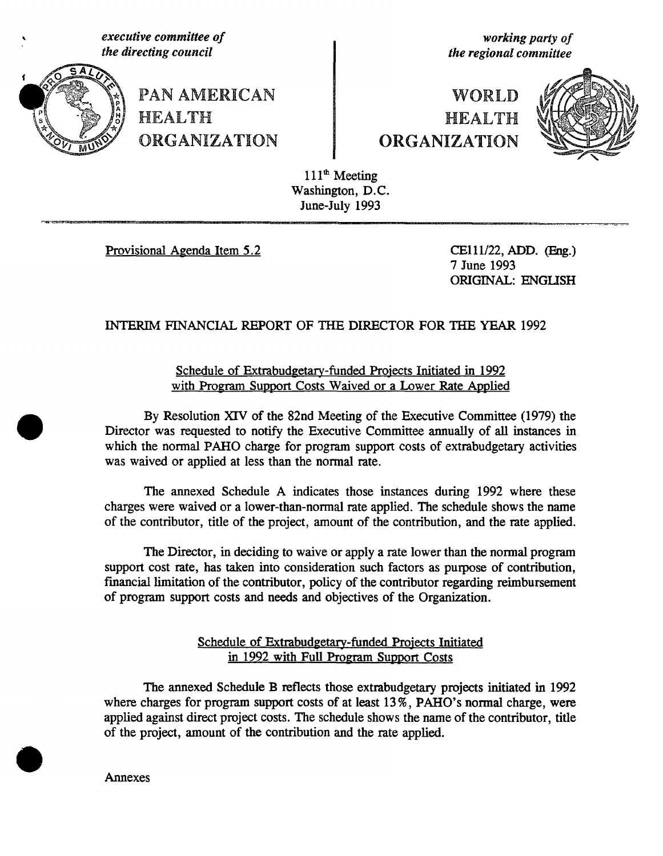executive committee of *executive committee* of **of** *containent in the directing council* 



PAN AMERICAN **HEALTH** ORGANIZATION | ORGANIZATION

**the regional committee** 

# WORLD **HEALTH**



111<sup>th</sup> Meeting Washington, D.C. June-July 1993

Provisional Agenda Item 5.2 CEll1/22, ADD. (Eng.)

7 June 1993 ORIGINAL: ENGLISH

# INT*E*RIM FINANCIAL REPO*R*T OF THE DIR*E*CTOR FO*R* THE Y*E*AR 1992

Schedule of F.**.xtrabudgetary-fund**edProje**cts Initiated in 1992 with Program Support Costs Waived or a Lower Rate Applied** 

By Resolution XIV of the 82nd Meeting of the Executive Committee (1979) the Director was requested to notify the Executive Committee annually of all instances in which the normal PAHO charge for program support costs of extrabudgetary activities was waived or applied at less than the normal rate.

The annexed Schedule A indicates those instances during 1992 where these charges were waived or a lower-than-normal rate applied. The schedule shows the name of the contributor, title of the project, amount of the contribution, and the rate app**li**ed.

The Director, in deciding to waive or apply a rate lower than the normal program support cost rate, has taken into consideration such factors as pu*r*pose of contribution, financial limitation of the contributor, policy of the contributor regarding reimbursement of program support costs and needs and objectives of the Organization.

> Schedule o*f Extrabudgetar*y-funded Projects Initiated in *1992 with Full Program Support Costs*

The annexed Schedule *B* reflects those extrabudgetary projects initiated i*n* 199**2** where charges for program support costs of at least 13%, PAHO's normal charge, were app**li**ed against direct project costs. The schedule shows the name of the contributor, title of the project, amount of the contribution and the rate app**li**ed.

Annexes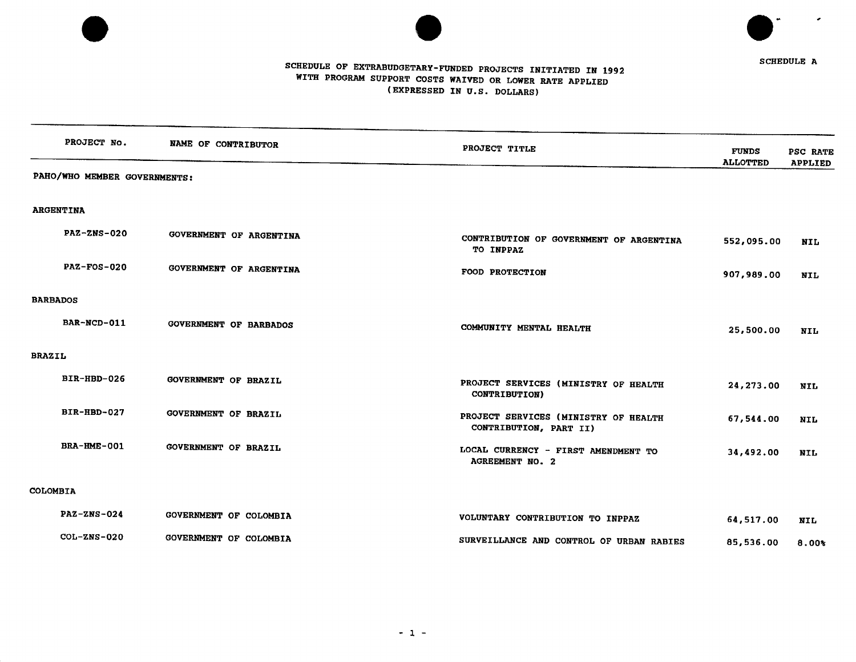



SCHEDULE A

# SCHEDULE OF EXT**R**ABUDOETARY**-**FUNDED PROJECTS INITIATED IN 1992 WITH P**R**OG**R**AM SUPPORT COSTS WAIVED O**R** LOWE**R R**ATE APPLIED (EXPR**E**SSED IN U**.**S**.** DOLLA**R**S)

|                 | PROJECT No.                  | NAME OF CONTRIBUTOR           |                                                                |                                 |                                   |
|-----------------|------------------------------|-------------------------------|----------------------------------------------------------------|---------------------------------|-----------------------------------|
|                 |                              |                               | PROJECT TITLE                                                  | <b>FUNDS</b><br><b>ALLOTTED</b> | <b>PSC RATE</b><br><b>APPLIED</b> |
|                 | PAHO/WHO MEMBER GOVERNMENTS: |                               |                                                                |                                 |                                   |
|                 |                              |                               |                                                                |                                 |                                   |
|                 | <b>ARGENTINA</b>             |                               |                                                                |                                 |                                   |
|                 | <b>PAZ-ZNS-020</b>           | GOVERNMENT OF ARGENTINA       | CONTRIBUTION OF GOVERNMENT OF ARGENTINA<br>TO INPPAZ           | 552,095.00                      | NIL                               |
|                 | $PAZ-FOS-020$                | GOVERNMENT OF ARGENTINA       | FOOD PROTECTION                                                | 907,989.00                      | <b>NIL</b>                        |
| <b>BARBADOS</b> |                              |                               |                                                                |                                 |                                   |
|                 | BAR-NCD-011                  | <b>GOVERNMENT OF BARBADOS</b> | COMMUNITY MENTAL HEALTH                                        | 25,500.00                       | <b>NIL</b>                        |
| <b>BRAZIL</b>   |                              |                               |                                                                |                                 |                                   |
|                 | BIR-HBD-026                  | <b>GOVERNMENT OF BRAZIL</b>   | PROJECT SERVICES (MINISTRY OF HEALTH<br><b>CONTRIBUTION)</b>   | 24,273.00                       | <b>NIL</b>                        |
|                 | BIR-HBD-027                  | <b>GOVERNMENT OF BRAZIL</b>   | PROJECT SERVICES (MINISTRY OF HEALTH<br>CONTRIBUTION, PART II) | 67,544.00                       | <b>NIL</b>                        |
|                 | BRA-HME-001                  | <b>GOVERNMENT OF BRAZIL</b>   | LOCAL CURRENCY - FIRST AMENDMENT TO<br><b>AGREEMENT NO. 2</b>  | 34,492.00                       | <b>NIL</b>                        |
| COLOMBIA        |                              |                               |                                                                |                                 |                                   |
|                 | <b>PAZ-ZNS-024</b>           | GOVERNMENT OF COLOMBIA        | VOLUNTARY CONTRIBUTION TO INPPAZ                               | 64,517.00                       | NIL                               |
|                 | $COL-ZNS-020$                | GOVERNMENT OF COLOMBIA        | SURVEILLANCE AND CONTROL OF URBAN RABIES                       | 85,536.00                       | $8.00*$                           |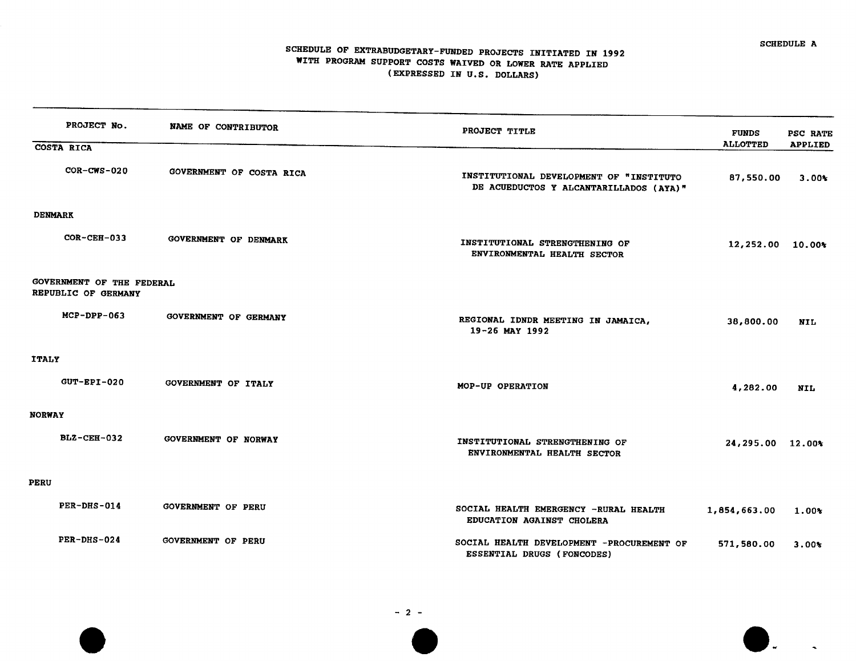$\mathbf{L}$ 

## SCHEDULE OF EXTRABUDGETARY**-**FUNDED P**R**OJECTS INITIATED IN 1992 WITH PROG**R**AM SUPPO**R**T COSTS WAIVED OR LOWE**R RA**T**E** APPLIED (EXPRESSED IN U**.**S**.** DOLLA**R**S)

|                | PROJECT No.                                      | <b>NAME OF CONTRIBUTOR</b>   | PROJECT TITLE                                                                     | <b>FUNDS</b>       | PSC RATE       |
|----------------|--------------------------------------------------|------------------------------|-----------------------------------------------------------------------------------|--------------------|----------------|
|                | COSTA RICA                                       |                              |                                                                                   | <b>ALLOTTED</b>    | <b>APPLIED</b> |
|                | $COR-CWS-020$                                    | GOVERNMENT OF COSTA RICA     | INSTITUTIONAL DEVELOPMENT OF "INSTITUTO<br>DE ACUEDUCTOS Y ALCANTARILLADOS (AYA)" | 87,550.00          | $3.00*$        |
| <b>DENMARK</b> |                                                  |                              |                                                                                   |                    |                |
|                | $COR-CEH-033$                                    | GOVERNMENT OF DENMARK        | INSTITUTIONAL STRENGTHENING OF<br>ENVIRONMENTAL HEALTH SECTOR                     | $12,252.00$ 10.00% |                |
|                | GOVERNMENT OF THE FEDERAL<br>REPUBLIC OF GERMANY |                              |                                                                                   |                    |                |
|                | $MCP-DPP-063$                                    | <b>GOVERNMENT OF GERMANY</b> | REGIONAL IDNDR MEETING IN JAMAICA,<br>$19-26$ MAY 1992                            | 38,800.00          | NIL            |
| <b>ITALY</b>   |                                                  |                              |                                                                                   |                    |                |
|                | $GUT - EPI - 020$                                | <b>GOVERNMENT OF ITALY</b>   | MOP-UP OPERATION                                                                  | 4,282.00           | NIL            |
| <b>NORWAY</b>  |                                                  |                              |                                                                                   |                    |                |
|                | $BLZ-CEH-032$                                    | GOVERNMENT OF NORWAY         | INSTITUTIONAL STRENGTHENING OF<br>ENVIRONMENTAL HEALTH SECTOR                     | 24,295.00 12.00%   |                |
| <b>PERU</b>    |                                                  |                              |                                                                                   |                    |                |
|                | PER-DHS-014                                      | <b>GOVERNMENT OF PERU</b>    | SOCIAL HEALTH EMERGENCY -RURAL HEALTH<br>EDUCATION AGAINST CHOLERA                | 1,854,663.00       | $1.00*$        |
|                | $PER-DRS-024$                                    | <b>GOVERNMENT OF PERU</b>    | SOCIAL HEALTH DEVELOPMENT -PROCUREMENT OF<br>ESSENTIAL DRUGS (FONCODES)           | 571,580.00         | $3.00*$        |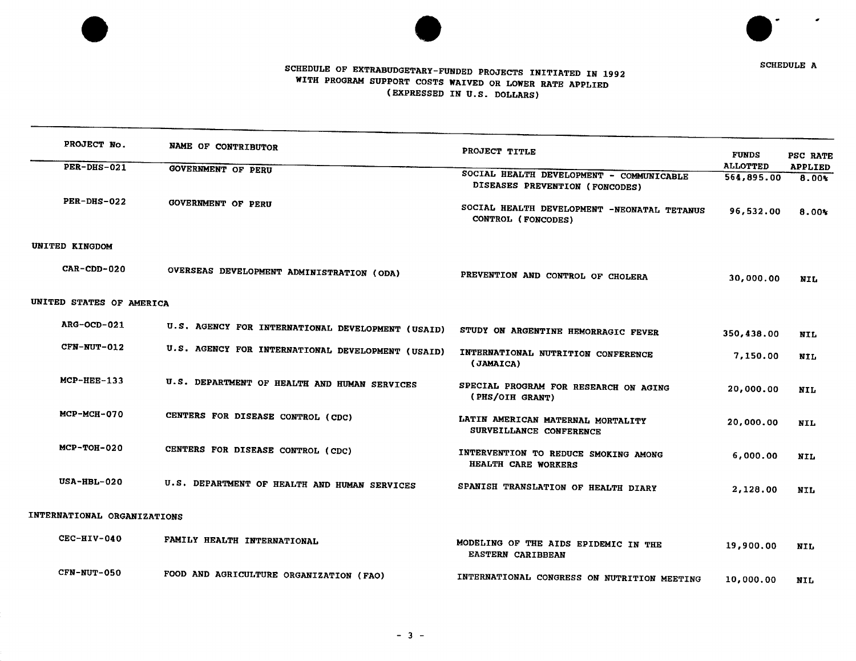



# SCHEDULE OF EXTRABUDGETARY-FUNDED PROJECTS INITIATED IN 1992 WITH PROGR**A**M SUPPORT COSTS WAIVED OR LOWER RAT**E** APPLIED (EXPR**E**SSED IN U.S. DOLLARS)

| PROJECT No.                 | NAME OF CONTRIBUTOR                               | PROJECT TITLE                                                              | <b>FUNDS</b>    | PSC RATE       |
|-----------------------------|---------------------------------------------------|----------------------------------------------------------------------------|-----------------|----------------|
| PER-DHS-021                 | <b>GOVERNMENT OF PERU</b>                         |                                                                            | <b>ALLOTTED</b> | <b>APPLIED</b> |
|                             |                                                   | SOCIAL HEALTH DEVELOPMENT - COMMUNICABLE<br>DISEASES PREVENTION (FONCODES) | 564,895.00      | $8.00*$        |
| PER-DHS-022                 | <b>GOVERNMENT OF PERU</b>                         | SOCIAL HEALTH DEVELOPMENT -NEONATAL TETANUS<br>CONTROL (FONCODES)          | 96,532.00       | $8.00*$        |
| UNITED KINGDOM              |                                                   |                                                                            |                 |                |
| $CAR$ - $CDD$ - 020         | OVERSEAS DEVELOPMENT ADMINISTRATION (ODA)         | PREVENTION AND CONTROL OF CHOLERA                                          | 30,000.00       | <b>NIL</b>     |
| UNITED STATES OF AMERICA    |                                                   |                                                                            |                 |                |
| ARG-OCD-021                 | U.S. AGENCY FOR INTERNATIONAL DEVELOPMENT (USAID) | STUDY ON ARGENTINE HEMORRAGIC FEVER                                        | 350,438.00      | <b>NIL</b>     |
| CFN-NUT-012                 | U.S. AGENCY FOR INTERNATIONAL DEVELOPMENT (USAID) | INTERNATIONAL NUTRITION CONFERENCE<br>(JAMAICA)                            | 7,150.00        | <b>NIL</b>     |
| $MCP-HEE-133$               | U.S. DEPARTMENT OF HEALTH AND HUMAN SERVICES      | SPECIAL PROGRAM FOR RESEARCH ON AGING<br>(PHS/OIH GRANT)                   | 20,000.00       | <b>NIL</b>     |
| <b>MCP-MCH-070</b>          | CENTERS FOR DISEASE CONTROL (CDC)                 | LATIN AMERICAN MATERNAL MORTALITY<br>SURVEILLANCE CONFERENCE               | 20,000.00       | <b>NIL</b>     |
| $MCP-TOH-020$               | CENTERS FOR DISEASE CONTROL (CDC)                 | INTERVENTION TO REDUCE SMOKING AMONG<br>HEALTH CARE WORKERS                | 6,000.00        | <b>NIL</b>     |
| $USA-HBL-020$               | U.S. DEPARTMENT OF HEALTH AND HUMAN SERVICES      | SPANISH TRANSLATION OF HEALTH DIARY                                        | 2,128.00        | <b>NIL</b>     |
| INTERNATIONAL ORGANIZATIONS |                                                   |                                                                            |                 |                |
| CEC-HIV-040                 | FAMILY HEALTH INTERNATIONAL                       | MODELING OF THE AIDS EPIDEMIC IN THE<br>EASTERN CARIBBEAN                  | 19,900.00       | <b>NIL</b>     |
| CFN-NUT-050                 | FOOD AND AGRICULTURE ORGANIZATION (FAO)           | INTERNATIONAL CONGRESS ON NUTRITION MEETING                                | 10,000.00       | NIL            |

**-** 3 **-**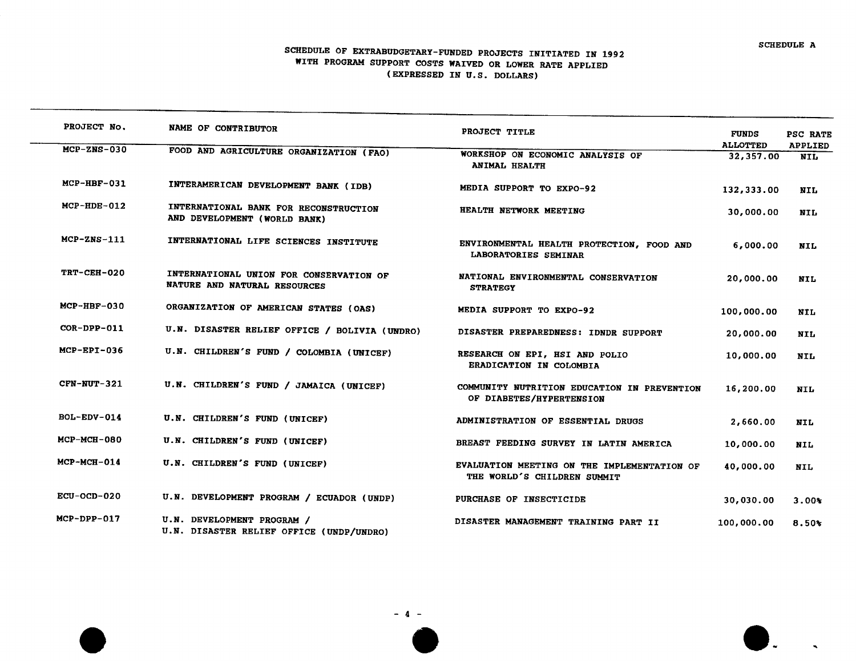$\mathbf{L}$ 

## SCHEDULE OF EXTRABUDGETARY-FUNDED PROJECTS INITIATED IN 1992 WITH PROO**R**AM SUPPORT COSTS WAIVED OR LOWER **R**ATE APPLIED (EXP**R**ESSED IN U**.**S**.** DOLLA**R**S)

| PROJECT No.        | NAME OF CONTRIBUTOR                                                     | PROJECT TITLE                                                              | <b>FUNDS</b><br><b>ALLOTTED</b> | PSC RATE<br><b>APPLIED</b> |
|--------------------|-------------------------------------------------------------------------|----------------------------------------------------------------------------|---------------------------------|----------------------------|
| $MCP-ZNS-030$      | FOOD AND AGRICULTURE ORGANIZATION (FAO)                                 | WORKSHOP ON ECONOMIC ANALYSIS OF<br><b>ANIMAL HEALTH</b>                   | 32,357.00                       | <b>NIL</b>                 |
| $MCP-HBF-031$      | INTERAMERICAN DEVELOPMENT BANK (IDB)                                    | MEDIA SUPPORT TO EXPO-92                                                   | 132,333.00                      | NIL                        |
| $MCP-HDE-012$      | INTERNATIONAL BANK FOR RECONSTRUCTION<br>AND DEVELOPMENT (WORLD BANK)   | HEALTH NETWORK MEETING                                                     | 30,000.00                       | <b>NIL</b>                 |
| $MCP-ZNS-111$      | INTERNATIONAL LIFE SCIENCES INSTITUTE                                   | ENVIRONMENTAL HEALTH PROTECTION, FOOD AND<br><b>LABORATORIES SEMINAR</b>   | 6,000.00                        | <b>NIL</b>                 |
| TRT-CEH-020        | INTERNATIONAL UNION FOR CONSERVATION OF<br>NATURE AND NATURAL RESOURCES | NATIONAL ENVIRONMENTAL CONSERVATION<br><b>STRATEGY</b>                     | 20,000.00                       | <b>NIL</b>                 |
| <b>MCP-HBF-030</b> | ORGANIZATION OF AMERICAN STATES (OAS)                                   | MEDIA SUPPORT TO EXPO-92                                                   | 100,000.00                      | NIL                        |
| COR-DPP-011        | U.N. DISASTER RELIEF OFFICE / BOLIVIA (UNDRO)                           | DISASTER PREPAREDNESS: IDNDR SUPPORT                                       | 20,000.00                       | NIL                        |
| $MCP-EPI-036$      | U.N. CHILDREN'S FUND / COLOMBIA (UNICEF)                                | RESEARCH ON EPI, HSI AND POLIO<br>ERADICATION IN COLOMBIA                  | 10,000.00                       | <b>NIL</b>                 |
| $CFN-NUT-321$      | U.N. CHILDREN'S FUND / JAMAICA (UNICEF)                                 | COMMUNITY NUTRITION EDUCATION IN PREVENTION<br>OF DIABETES/HYPERTENSION    | 16,200.00                       | <b>NIL</b>                 |
| BOL-EDV-014        | U.N. CHILDREN'S FUND (UNICEF)                                           | ADMINISTRATION OF ESSENTIAL DRUGS                                          | 2,660.00                        | <b>NIL</b>                 |
| $MCP-MCH-080$      | U.N. CHILDREN'S FUND (UNICEF)                                           | BREAST FEEDING SURVEY IN LATIN AMERICA                                     | 10,000.00                       | <b>NIL</b>                 |
| $MCP-MCH-014$      | U.N. CHILDREN'S FUND (UNICEF)                                           | EVALUATION MEETING ON THE IMPLEMENTATION OF<br>THE WORLD'S CHILDREN SUMMIT | 40,000.00                       | <b>NIL</b>                 |
| $ECU-OCD-020$      | U.N. DEVELOPMENT PROGRAM / ECUADOR (UNDP)                               | PURCHASE OF INSECTICIDE                                                    | 30,030.00                       | $3.00*$                    |
| $MCP-DPP-017$      | U.N. DEVELOPMENT PROGRAM /<br>U.N. DISASTER RELIEF OFFICE (UNDP/UNDRO)  | DISASTER MANAGEMENT TRAINING PART II                                       | 100,000.00                      | $8.50*$                    |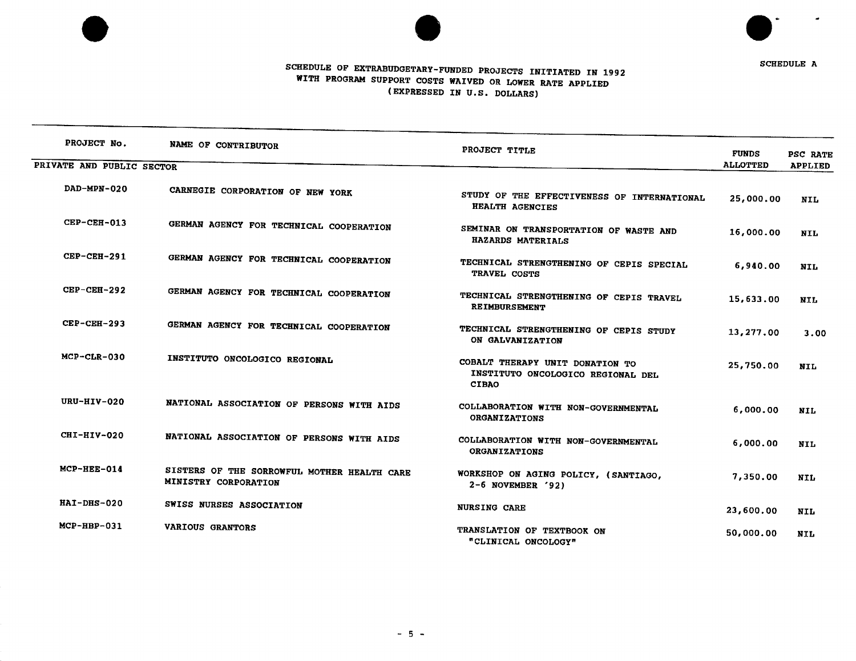



**SCHEDULE A** 

# SCHEDULE OF EXTR**A**BUDGETARY**-**FUNDED PROJECTS INITIATED IN 1992 WITH PROG**R**AM SUPPORT COSTS WAIVED OR LOW**E**R **R**ATE APPLIED (EXPRESSED IN U**.**S**.** DO**L**LARS)

| PROJECT No.               | NAME OF CONTRIBUTOR                                                 | PROJECT TITLE                                                                        | <b>FUNDS</b>    | PSC RATE       |
|---------------------------|---------------------------------------------------------------------|--------------------------------------------------------------------------------------|-----------------|----------------|
| PRIVATE AND PUBLIC SECTOR |                                                                     |                                                                                      | <b>ALLOTTED</b> | <b>APPLIED</b> |
| DAD-MPN-020               | CARNEGIE CORPORATION OF NEW YORK                                    | STUDY OF THE EFFECTIVENESS OF INTERNATIONAL<br>HEALTH AGENCIES                       | 25,000.00       | <b>NIL</b>     |
| $CEP-CEH-013$             | GERMAN AGENCY FOR TECHNICAL COOPERATION                             | SEMINAR ON TRANSPORTATION OF WASTE AND<br>HAZARDS MATERIALS                          | 16,000.00       | <b>NIL</b>     |
| <b>CEP-CEH-291</b>        | GERMAN AGENCY FOR TECHNICAL COOPERATION                             | TECHNICAL STRENGTHENING OF CEPIS SPECIAL<br>TRAVEL COSTS                             | 6,940.00        | <b>NIL</b>     |
| $CEP-CEH-292$             | GERMAN AGENCY FOR TECHNICAL COOPERATION                             | TECHNICAL STRENGTHENING OF CEPIS TRAVEL<br>REIMBURSEMENT                             | 15,633.00       | <b>NIL</b>     |
| $CEP-CEH-293$             | GERMAN AGENCY FOR TECHNICAL COOPERATION                             | TECHNICAL STRENGTHENING OF CEPIS STUDY<br>ON GALVANIZATION                           | 13,277.00       | 3.00           |
| MCP-CLR-030               | INSTITUTO ONCOLOGICO REGIONAL                                       | COBALT THERAPY UNIT DONATION TO<br>INSTITUTO ONCOLOGICO REGIONAL DEL<br><b>CIBAO</b> | 25,750.00       | <b>NIL</b>     |
| URU-HIV-020               | NATIONAL ASSOCIATION OF PERSONS WITH AIDS                           | COLLABORATION WITH NON-GOVERNMENTAL<br><b>ORGANIZATIONS</b>                          | 6,000.00        | <b>NIL</b>     |
| CHI-HIV-020               | NATIONAL ASSOCIATION OF PERSONS WITH AIDS                           | COLLABORATION WITH NON-GOVERNMENTAL<br><b>ORGANIZATIONS</b>                          | 6,000.00        | <b>NIL</b>     |
| MCP-HEE-014               | SISTERS OF THE SORROWFUL MOTHER HEALTH CARE<br>MINISTRY CORPORATION | WORKSHOP ON AGING POLICY, (SANTIAGO,<br>$2-6$ NOVEMBER '92)                          | 7,350.00        | NIL            |
| HAI-DHS-020               | SWISS NURSES ASSOCIATION                                            | <b>NURSING CARE</b>                                                                  | 23,600.00       | <b>NIL</b>     |
| $MCP-HBP-031$             | VARIOUS GRANTORS                                                    | TRANSLATION OF TEXTBOOK ON<br>"CLINICAL ONCOLOGY"                                    | 50,000.00       | <b>NIL</b>     |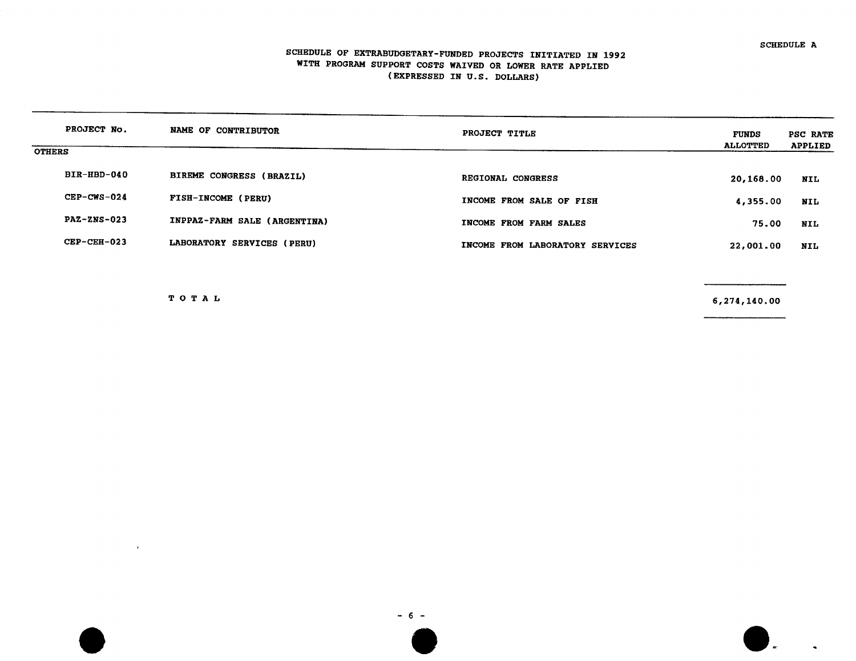#### SCHEDULE OF EXTRABUDGETARY-FUNDED PROJECTS INITIATED IN 1992 WITH PROG**R**AM SUPPORT COSTS WAIVED O**R** LOWER **R**AT**E** APPLIED (EXP**R**ESSED IN U**.**S**.** DOLLARS)

| PROJECT No.        | NAME OF CONTRIBUTOR          | PROJECT TITLE                   | <b>FUNDS</b><br><b>ALLOTTED</b> | PSC RATE<br><b>APPLIED</b> |
|--------------------|------------------------------|---------------------------------|---------------------------------|----------------------------|
| <b>OTHERS</b>      |                              |                                 |                                 |                            |
| BIR-HBD-040        | BIREME CONGRESS (BRAZIL)     | REGIONAL CONGRESS               | 20,168.00                       | NIL                        |
| CEP-CWS-024        | FISH-INCOME (PERU)           | INCOME FROM SALE OF FISH        | 4,355.00                        | NIL                        |
| <b>PAZ-ZNS-023</b> | INPPAZ-FARM SALE (ARGENTINA) | INCOME FROM FARM SALES          | 75.00                           | NIL                        |
| $CEP-CEH-023$      | LABORATORY SERVICES (PERU)   | INCOME FROM LABORATORY SERVICES | 22,001.00                       | NIL                        |
|                    |                              |                                 |                                 |                            |

 $\sim$ 

T O T A L 6**,**27d**,**140**.**00

 $\overline{a}$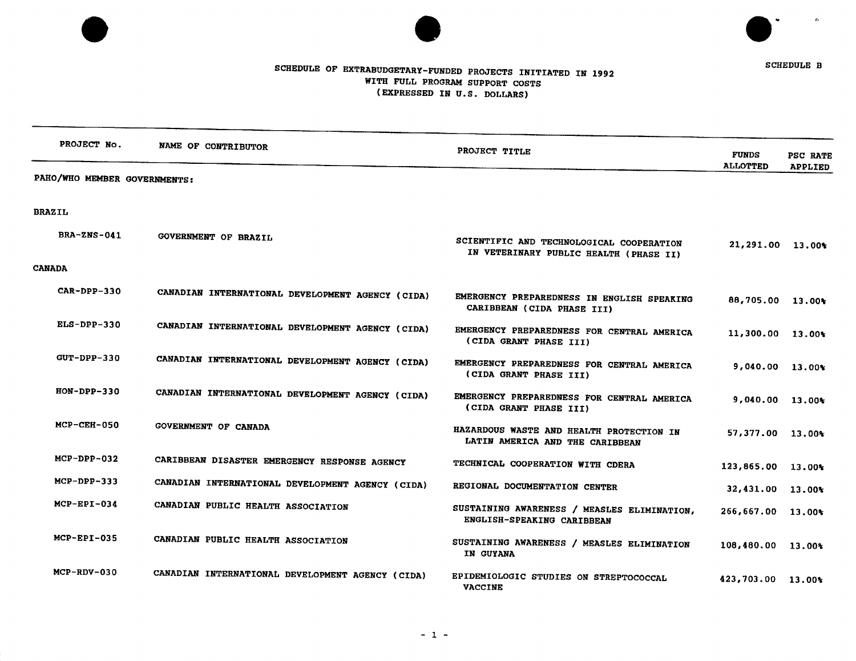



# SCHEDULE OF EXTRABUDGETARY-FUNDED PROJECTS INITIATED IN 1992 WITH F**U**LL PROGRAM SUPPORT COSTS (EXPH**E**SSED IN U**.**S**.** DOLLARS)

| PROJECT No.                  | NAME OF CONTRIBUTOR                              | PROJECT TITLE                                                                      | <b>FUNDS</b>          | PSC RATE       |
|------------------------------|--------------------------------------------------|------------------------------------------------------------------------------------|-----------------------|----------------|
| PAHO/WHO MEMBER GOVERNMENTS: |                                                  |                                                                                    | <b>ALLOTTED</b>       | <b>APPLIED</b> |
| <b>BRAZIL</b>                |                                                  |                                                                                    |                       |                |
| <b>BRA-ZNS-041</b>           | GOVERNMENT OF BRAZIL                             | SCIENTIFIC AND TECHNOLOGICAL COOPERATION<br>IN VETERINARY PUBLIC HEALTH (PHASE II) | 21,291.00 13.00%      |                |
| <b>CANADA</b>                |                                                  |                                                                                    |                       |                |
| $CAP-PPP-330$                | CANADIAN INTERNATIONAL DEVELOPMENT AGENCY (CIDA) | EMERGENCY PREPAREDNESS IN ENGLISH SPEAKING<br>CARIBBEAN (CIDA PHASE III)           | 88,705.00 13.00%      |                |
| ELS-DPP-330                  | CANADIAN INTERNATIONAL DEVELOPMENT AGENCY (CIDA) | EMERGENCY PREPAREDNESS FOR CENTRAL AMERICA<br>(CIDA GRANT PHASE III)               | 11,300.00 13.00%      |                |
| <b>GUT-DPP-330</b>           | CANADIAN INTERNATIONAL DEVELOPMENT AGENCY (CIDA) | EMERGENCY PREPAREDNESS FOR CENTRAL AMERICA<br>(CIDA GRANT PHASE III)               | $9,040.00$ 13.00%     |                |
| $HON-DPP-330$                | CANADIAN INTERNATIONAL DEVELOPMENT AGENCY (CIDA) | EMERGENCY PREPAREDNESS FOR CENTRAL AMERICA<br>(CIDA GRANT PHASE III)               | 9,040.00 13.00%       |                |
| $MCP-CEH-050$                | GOVERNMENT OF CANADA                             | HAZARDOUS WASTE AND HEALTH PROTECTION IN<br>LATIN AMERICA AND THE CARIBBEAN        | 57,377.00 13.00%      |                |
| $MCP-DPP-032$                | CARIBBEAN DISASTER EMERGENCY RESPONSE AGENCY     | TECHNICAL COOPERATION WITH CDERA                                                   | 123,865.00 13.00%     |                |
| $MCP-DPP-333$                | CANADIAN INTERNATIONAL DEVELOPMENT AGENCY (CIDA) | REGIONAL DOCUMENTATION CENTER                                                      | 32,431.00 13.00%      |                |
| $MCP-EPI-034$                | CANADIAN PUBLIC HEALTH ASSOCIATION               | SUSTAINING AWARENESS / MEASLES ELIMINATION,<br>ENGLISH-SPEAKING CARIBBEAN          | $266,667.00$ 13.00%   |                |
| $MCP-EPI-035$                | CANADIAN PUBLIC HEALTH ASSOCIATION               | SUSTAINING AWARENESS / MEASLES ELIMINATION<br>IN GUYANA                            | $108,480.00$ $13.00*$ |                |
| $MCP-RDV-030$                | CANADIAN INTERNATIONAL DEVELOPMENT AGENCY (CIDA) | EPIDEMIOLOGIC STUDIES ON STREPTOCOCCAL<br><b>VACCINE</b>                           | 423,703.00 13.00%     |                |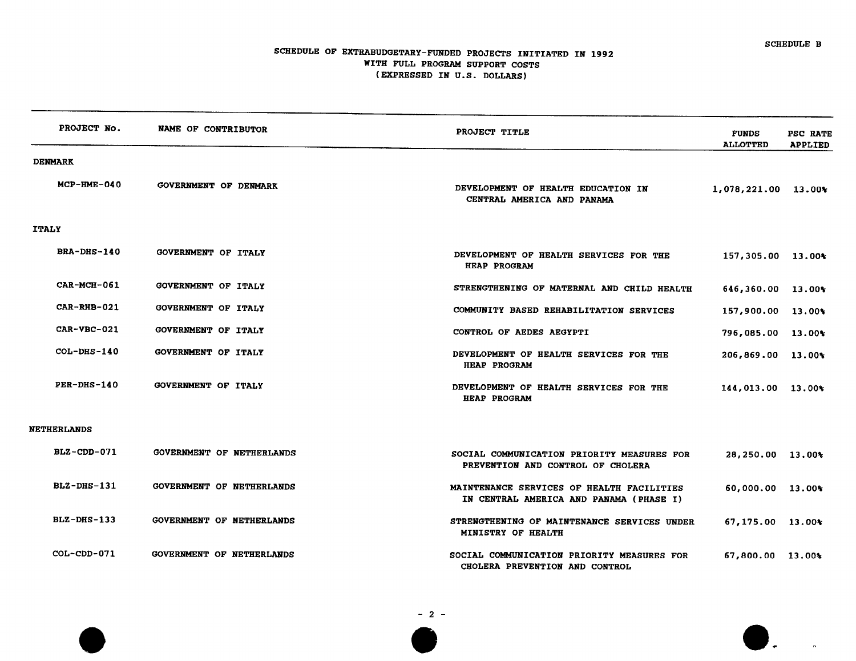$\mathbf{L}$ 

## SCHEDULE OF EXTRABUDGETARY-FUNDED PROJECTS INITIATED IN 1992 WITH FULL P**R**OORAM SUPPORT COSTS (EXPRESSED IN U**.**S**.** DOLLARS)

| PROJECT No.        | NAME OF CONTRIBUTOR              | PROJECT TITLE                                                                        | <b>FUNDS</b><br><b>ALLOTTED</b> | PSC RATI<br><b>APPLIED</b> |
|--------------------|----------------------------------|--------------------------------------------------------------------------------------|---------------------------------|----------------------------|
| <b>DENMARK</b>     |                                  |                                                                                      |                                 |                            |
| $MCP-HME-040$      | <b>GOVERNMENT OF DENMARK</b>     | DEVELOPMENT OF HEALTH EDUCATION IN<br>CENTRAL AMERICA AND PANAMA                     | $1,078,221.00$ 13.00%           |                            |
| <b>ITALY</b>       |                                  |                                                                                      |                                 |                            |
| <b>BRA-DHS-140</b> | GOVERNMENT OF ITALY              | DEVELOPMENT OF HEALTH SERVICES FOR THE<br><b>HEAP PROGRAM</b>                        | 157,305.00 13.00%               |                            |
| CAR-MCH-061        | <b>GOVERNMENT OF ITALY</b>       | STRENGTHENING OF MATERNAL AND CHILD HEALTH                                           | 646,360.00 13.00%               |                            |
| CAR-RHB-021        | GOVERNMENT OF ITALY              | COMMUNITY BASED REHABILITATION SERVICES                                              | 157,900.00 13.00%               |                            |
| $CAR - VBC - 021$  | GOVERNMENT OF ITALY              | CONTROL OF AEDES AEGYPTI                                                             | $796,085.00$ 13.00%             |                            |
| $COL-DRS-140$      | GOVERNMENT OF ITALY              | DEVELOPMENT OF HEALTH SERVICES FOR THE<br>HEAP PROGRAM                               | $206,869.00$ 13.00%             |                            |
| PER-DHS-140        | GOVERNMENT OF ITALY              | DEVELOPMENT OF HEALTH SERVICES FOR THE<br><b>HEAP PROGRAM</b>                        | 144,013.00 13.00%               |                            |
| <b>NETHERLANDS</b> |                                  |                                                                                      |                                 |                            |
| BLZ-CDD-071        | GOVERNMENT OF NETHERLANDS        | SOCIAL COMMUNICATION PRIORITY MEASURES FOR<br>PREVENTION AND CONTROL OF CHOLERA      | 28,250.00 13.00%                |                            |
| $BLZ-DHS-131$      | <b>GOVERNMENT OF NETHERLANDS</b> | MAINTENANCE SERVICES OF HEALTH FACILITIES<br>IN CENTRAL AMERICA AND PANAMA (PHASE I) | 60,000.00 13.00%                |                            |
| $BLZ-DHS-133$      | GOVERNMENT OF NETHERLANDS        | STRENGTHENING OF MAINTENANCE SERVICES UNDER<br>MINISTRY OF HEALTH                    | $67,175,00$ 13.00%              |                            |
| $COL-CDD-071$      | GOVERNMENT OF NETHERLANDS        | SOCIAL COMMUNICATION PRIORITY MEASURES FOR<br>CHOLERA PREVENTION AND CONTROL         | 67,800.00 13.00%                |                            |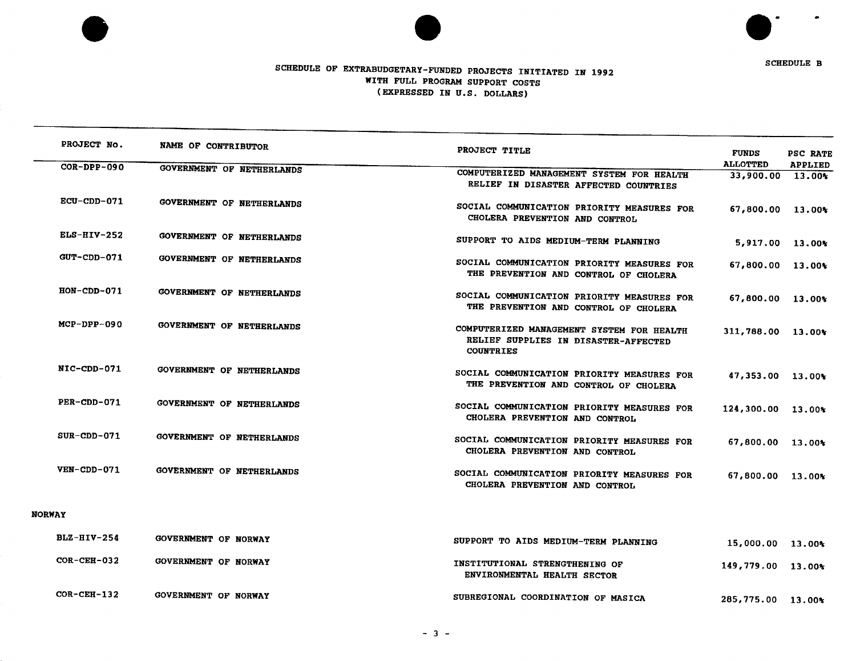



 $\bullet$ 

 $\bullet$ 

# *S*CHE*DU*LE OF E*X*T*RA*B*UD*GETAR*Y*-F*UND*E*D* PROJE*C*T*S* INITI*A*TE*D* IN 1*99*2 WIT*H FU*LL *P*ROG**R**AM S*U*P*P*O**R**T *C*OSTS (EXP**RE**SSED IN U**.**S. DOLLA**R**S)

| PROJECT No.        | NAME OF CONTRIBUTOR              | PROJECT TITLE                                                                       | <b>FUNDS</b>                        | PSC RATE       |
|--------------------|----------------------------------|-------------------------------------------------------------------------------------|-------------------------------------|----------------|
| $COR-DPP-090$      | GOVERNMENT OF NETHERLANDS        | COMPUTERIZED MANAGEMENT SYSTEM FOR HEALTH                                           | <b>ALLOTTED</b><br>33,900.00 13.00% | <b>APPLIED</b> |
|                    |                                  | RELIEF IN DISASTER AFFECTED COUNTRIES                                               |                                     |                |
| ECU-CDD-071        | GOVERNMENT OF NETHERLANDS        |                                                                                     |                                     |                |
|                    |                                  | SOCIAL COMMUNICATION PRIORITY MEASURES FOR<br>CHOLERA PREVENTION AND CONTROL        | 67,800.00 13.00%                    |                |
| $ELS-HIV-252$      | GOVERNMENT OF NETHERLANDS        | SUPPORT TO AIDS MEDIUM-TERM PLANNING                                                |                                     |                |
|                    |                                  |                                                                                     | 5,917.00 13.00%                     |                |
| <b>GUT-CDD-071</b> | GOVERNMENT OF NETHERLANDS        | SOCIAL COMMUNICATION PRIORITY MEASURES FOR<br>THE PREVENTION AND CONTROL OF CHOLERA | 67,800.00 13.00%                    |                |
| $HON$ -CDD-071     | GOVERNMENT OF NETHERLANDS        | SOCIAL COMMUNICATION PRIORITY MEASURES FOR                                          |                                     |                |
|                    |                                  | THE PREVENTION AND CONTROL OF CHOLERA                                               | 67,800.00 13.00%                    |                |
| MCP-DPP-090        |                                  |                                                                                     |                                     |                |
|                    | <b>GOVERNMENT OF NETHERLANDS</b> | COMPUTERIZED MANAGEMENT SYSTEM FOR HEALTH<br>RELIEF SUPPLIES IN DISASTER-AFFECTED   | 311,788.00 13.00%                   |                |
|                    |                                  | <b>COUNTRIES</b>                                                                    |                                     |                |
| NIC-CDD-071        | GOVERNMENT OF NETHERLANDS        |                                                                                     |                                     |                |
|                    |                                  | SOCIAL COMMUNICATION PRIORITY MEASURES FOR<br>THE PREVENTION AND CONTROL OF CHOLERA | 47,353.00 13.00%                    |                |
|                    |                                  |                                                                                     |                                     |                |
| PER-CDD-071        | <b>GOVERNMENT OF NETHERLANDS</b> | SOCIAL COMMUNICATION PRIORITY MEASURES FOR                                          | 124,300.00 13.00%                   |                |
|                    |                                  | CHOLERA PREVENTION AND CONTROL                                                      |                                     |                |
| $SUR$ -CDD-071     | GOVERNMENT OF NETHERLANDS        | SOCIAL COMMUNICATION PRIORITY MEASURES FOR                                          | 67,800.00 13.00%                    |                |
|                    |                                  | CHOLERA PREVENTION AND CONTROL                                                      |                                     |                |
| VEN-CDD-071        | <b>GOVERNMENT OF NETHERLANDS</b> |                                                                                     |                                     |                |
|                    |                                  | SOCIAL COMMUNICATION PRIORITY MEASURES FOR<br>CHOLERA PREVENTION AND CONTROL        | 67,800.00 13.00%                    |                |
|                    |                                  |                                                                                     |                                     |                |
| <b>NORWAY</b>      |                                  |                                                                                     |                                     |                |
| $BLZ-HIV-254$      | <b>GOVERNMENT OF NORWAY</b>      | SUPPORT TO AIDS MEDIUM-TERM PLANNING                                                |                                     |                |
|                    |                                  |                                                                                     | 15,000.00 13.00%                    |                |
| $COR-CEH-032$      | <b>GOVERNMENT OF NORWAY</b>      | INSTITUTIONAL STRENGTHENING OF                                                      | $149.779.00$ 13.00*                 |                |

COR**-**CEH**-**132 GOVERNMENT OF NORWAY SUBREGIONAL COO**R**DINATION OF MASICA 285**,**775**.**00 13**.**00%

ENVIRONMENTAL HEALTH SECTOR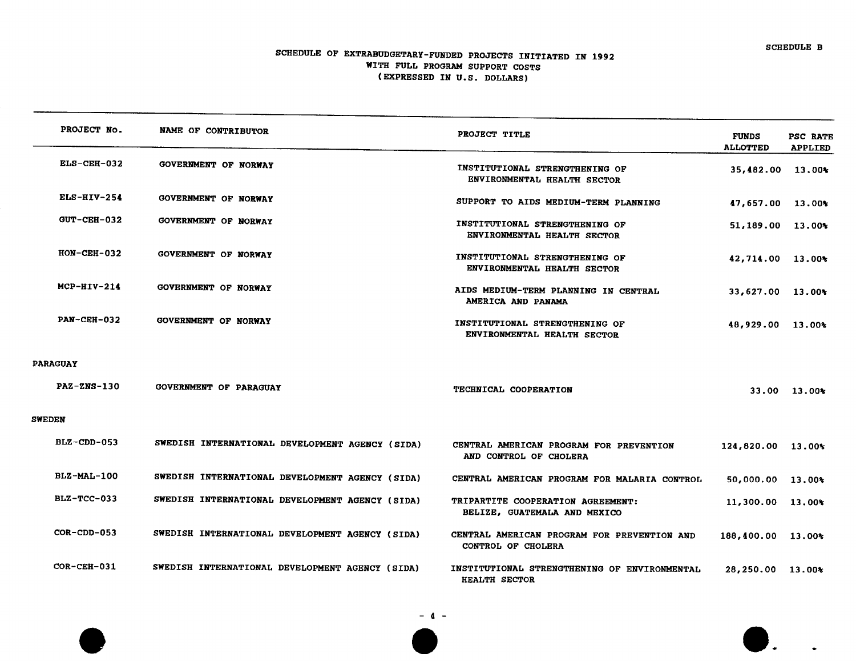$\mathbf{I}$ .

# SCHEDULE OF EXT**R**ABUDGETA**R**Y-FUNDED PROJECTS INITIATED IN 1992 WITH FULL P**R**OG**R**AM SUPPORT COSTS (EXP**R**ESSED IN U**.**S**.** DOLLA**R**S)

| PROJECT No.        | NAME OF CONTRIBUTOR                             | PROJECT TITLE                                                        | <b>FUNDS</b><br><b>ALLOTTED</b> | PSC RATE<br><b>APPLIED</b> |
|--------------------|-------------------------------------------------|----------------------------------------------------------------------|---------------------------------|----------------------------|
| ELS-CEH-032        | <b>GOVERNMENT OF NORWAY</b>                     | INSTITUTIONAL STRENGTHENING OF<br>ENVIRONMENTAL HEALTH SECTOR        | 35,482.00 13.00%                |                            |
| $ELS-HIV-254$      | GOVERNMENT OF NORWAY                            | SUPPORT TO AIDS MEDIUM-TERM PLANNING                                 | 47,657.00 13.00%                |                            |
| GUT-CEH-032        | <b>GOVERNMENT OF NORWAY</b>                     | INSTITUTIONAL STRENGTHENING OF<br>ENVIRONMENTAL HEALTH SECTOR        | $51,189.00$ 13.00%              |                            |
| $HON-CEH-032$      | GOVERNMENT OF NORWAY                            | INSTITUTIONAL STRENGTHENING OF<br>ENVIRONMENTAL HEALTH SECTOR        | 42,714.00 13.00%                |                            |
| $MCP-HIV-214$      | <b>GOVERNMENT OF NORWAY</b>                     | AIDS MEDIUM-TERM PLANNING IN CENTRAL<br>AMERICA AND PANAMA           | 33,627.00 13.00%                |                            |
| <b>PAN-CEH-032</b> | GOVERNMENT OF NORWAY                            | INSTITUTIONAL STRENGTHENING OF<br><b>ENVIRONMENTAL HEALTH SECTOR</b> | 48,929.00 13.00%                |                            |
| <b>PARAGUAY</b>    |                                                 |                                                                      |                                 |                            |
| <b>PAZ-ZNS-130</b> | <b>GOVERNMENT OF PARAGUAY</b>                   | TECHNICAL COOPERATION                                                |                                 | 33.00 13.00%               |
| <b>SWEDEN</b>      |                                                 |                                                                      |                                 |                            |
| BLZ-CDD-053        | SWEDISH INTERNATIONAL DEVELOPMENT AGENCY (SIDA) | CENTRAL AMERICAN PROGRAM FOR PREVENTION<br>AND CONTROL OF CHOLERA    | 124,820.00 13.00%               |                            |
| <b>BLZ-MAL-100</b> | SWEDISH INTERNATIONAL DEVELOPMENT AGENCY (SIDA) | CENTRAL AMERICAN PROGRAM FOR MALARIA CONTROL                         | 50,000.00 13.00%                |                            |
| $BLZ-TCC-033$      | SWEDISH INTERNATIONAL DEVELOPMENT AGENCY (SIDA) | TRIPARTITE COOPERATION AGREEMENT:<br>BELIZE, GUATEMALA AND MEXICO    | $11,300.00$ $13.00*$            |                            |
| $COR-CDD-053$      | SWEDISH INTERNATIONAL DEVELOPMENT AGENCY (SIDA) | CENTRAL AMERICAN PROGRAM FOR PREVENTION AND<br>CONTROL OF CHOLERA    | 188,400.00 13.00%               |                            |
| $COR-CEH-031$      | SWEDISH INTERNATIONAL DEVELOPMENT AGENCY (SIDA) | INSTITUTIONAL STRENGTHENING OF ENVIRONMENTAL<br><b>HEALTH SECTOR</b> | 28,250.00 13.00%                |                            |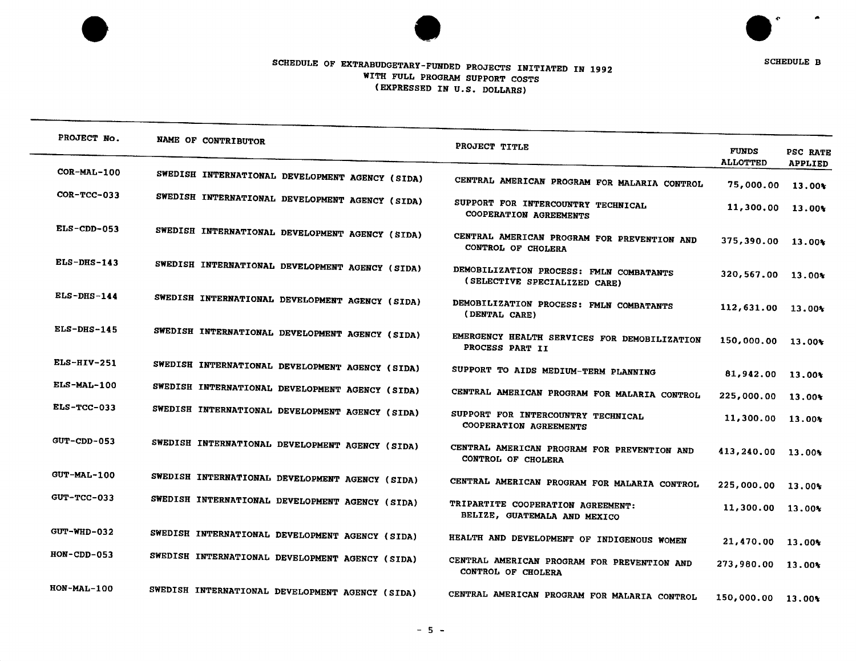



# SCHEDULE OF EXTRA BUDGETARY -FULL-WITH THIS PROPERTY CONDUCTS IN (EXP**R**ESSED IN U**.**S**.** DOLLARS)

| PROJECT No.        | NAME OF CONTRIBUTOR                             | PROJECT TITLE                                                           | <b>FUNDS</b><br><b>ALLOTTED</b> | PSC RATE<br><b>APPLIED</b> |
|--------------------|-------------------------------------------------|-------------------------------------------------------------------------|---------------------------------|----------------------------|
| $COR-ML-100$       | SWEDISH INTERNATIONAL DEVELOPMENT AGENCY (SIDA) | CENTRAL AMERICAN PROGRAM FOR MALARIA CONTROL                            | 75,000.00                       | 13.00%                     |
| COR-TCC-033        | SWEDISH INTERNATIONAL DEVELOPMENT AGENCY (SIDA) | SUPPORT FOR INTERCOUNTRY TECHNICAL<br>COOPERATION AGREEMENTS            | 11,300.00                       | 13.00%                     |
| $ELS$ -CDD-053     | SWEDISH INTERNATIONAL DEVELOPMENT AGENCY (SIDA) | CENTRAL AMERICAN PROGRAM FOR PREVENTION AND<br>CONTROL OF CHOLERA       | 375,390.00 13.00%               |                            |
| $ELS-DHS-143$      | SWEDISH INTERNATIONAL DEVELOPMENT AGENCY (SIDA) | DEMOBILIZATION PROCESS: FMLN COMBATANTS<br>(SELECTIVE SPECIALIZED CARE) | 320,567.00 13.00%               |                            |
| $ELS-DHS-144$      | SWEDISH INTERNATIONAL DEVELOPMENT AGENCY (SIDA) | DEMOBILIZATION PROCESS: FMLN COMBATANTS<br>(DENTAL CARE)                | 112,631.00                      | $13.00*$                   |
| $ELS-DHS-145$      | SWEDISH INTERNATIONAL DEVELOPMENT AGENCY (SIDA) | EMERGENCY HEALTH SERVICES FOR DEMOBILIZATION<br>PROCESS PART II         | 150,000.00 13.00%               |                            |
| $ELS-HIV-251$      | SWEDISH INTERNATIONAL DEVELOPMENT AGENCY (SIDA) | SUPPORT TO AIDS MEDIUM-TERM PLANNING                                    | 81,942.00                       | 13.00%                     |
| ELS-MAL-100        | SWEDISH INTERNATIONAL DEVELOPMENT AGENCY (SIDA) | CENTRAL AMERICAN PROGRAM FOR MALARIA CONTROL                            | 225,000.00                      | 13.00*                     |
| <b>ELS-TCC-033</b> | SWEDISH INTERNATIONAL DEVELOPMENT AGENCY (SIDA) | SUPPORT FOR INTERCOUNTRY TECHNICAL<br>COOPERATION AGREEMENTS            | 11,300.00                       | 13.00%                     |
| GUT-CDD-053        | SWEDISH INTERNATIONAL DEVELOPMENT AGENCY (SIDA) | CENTRAL AMERICAN PROGRAM FOR PREVENTION AND<br>CONTROL OF CHOLERA       | 413,240.00 13.00%               |                            |
| <b>GUT-MAL-100</b> | SWEDISH INTERNATIONAL DEVELOPMENT AGENCY (SIDA) | CENTRAL AMERICAN PROGRAM FOR MALARIA CONTROL                            | 225,000.00                      | 13.00%                     |
| GUT-TCC-033        | SWEDISH INTERNATIONAL DEVELOPMENT AGENCY (SIDA) | TRIPARTITE COOPERATION AGREEMENT:<br>BELIZE, GUATEMALA AND MEXICO       | 11,300.00 13.00%                |                            |
| $GUT-WHD-032$      | SWEDISH INTERNATIONAL DEVELOPMENT AGENCY (SIDA) | HEALTH AND DEVELOPMENT OF INDIGENOUS WOMEN                              | 21,470.00 13.00%                |                            |
| $HON$ -CDD-053     | SWEDISH INTERNATIONAL DEVELOPMENT AGENCY (SIDA) | CENTRAL AMERICAN PROGRAM FOR PREVENTION AND<br>CONTROL OF CHOLERA       | 273,980.00 13.00%               |                            |
| $HON-MAL-100$      | SWEDISH INTERNATIONAL DEVELOPMENT AGENCY (SIDA) | CENTRAL AMERICAN PROGRAM FOR MALARIA CONTROL                            | $150,000.00$ $13.00*$           |                            |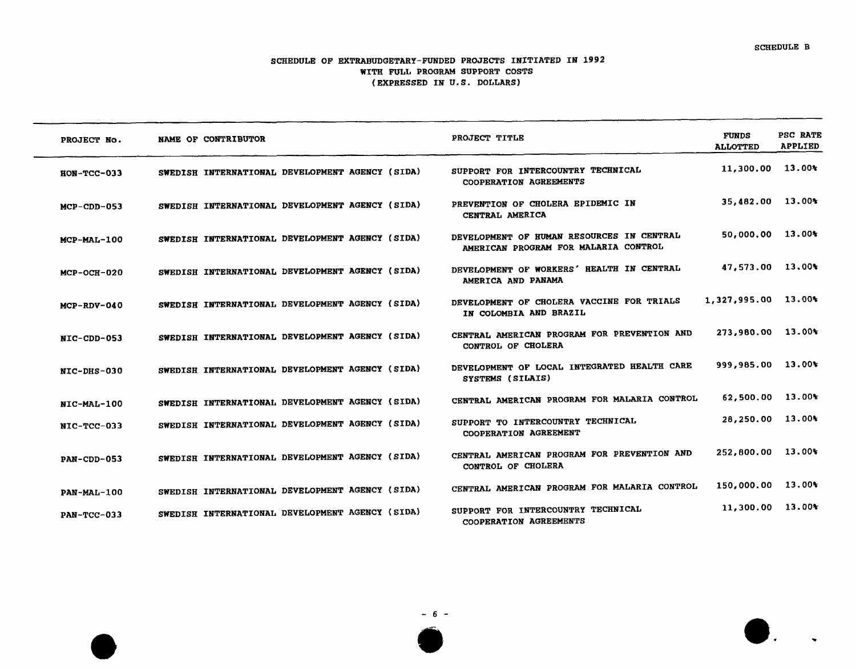$\blacksquare$  .

#### SCHEDULE OF EXT**R**ABUDGETARY-FUNDED PROJE**C**TS INITIATED IN 1992 WITH FULL PROGRAM SUPPORT COSTS (E*XP***R***E*SSE*D* IN *U*.*S*. *D*OLLA**R**S*)*

| PROJECT No.        | NAME OF CONTRIBUTOR                             | PROJECT TITLE                                                                     | <b>FUNDS</b><br><b>ALLOTTED</b> | PSC RATE<br><b>APPLIED</b> |
|--------------------|-------------------------------------------------|-----------------------------------------------------------------------------------|---------------------------------|----------------------------|
| $HON-TCC-033$      | SWEDISH INTERNATIONAL DEVELOPMENT AGENCY (SIDA) | SUPPORT FOR INTERCOUNTRY TECHNICAL<br>COOPERATION AGREEMENTS                      | 11,300.00 13.00%                |                            |
| $MCP$ -CDD-053     | SWEDISH INTERNATIONAL DEVELOPMENT AGENCY (SIDA) | PREVENTION OF CHOLERA EPIDEMIC IN<br>CENTRAL AMERICA                              | 35,482.00 13.00%                |                            |
| MCP-MAL-100        | SWEDISH INTERNATIONAL DEVELOPMENT AGENCY (SIDA) | DEVELOPMENT OF HUMAN RESOURCES IN CENTRAL<br>AMERICAN PROGRAM FOR MALARIA CONTROL | 50,000.00 13.00%                |                            |
| $MCP-OCH-020$      | SWEDISH INTERNATIONAL DEVELOPMENT AGENCY (SIDA) | DEVELOPMENT OF WORKERS' HEALTH IN CENTRAL<br>AMERICA AND PANAMA                   | 47,573.00 13.00%                |                            |
| $MCP-RDV-040$      | SWEDISH INTERNATIONAL DEVELOPMENT AGENCY (SIDA) | DEVELOPMENT OF CHOLERA VACCINE FOR TRIALS<br>IN COLOMBIA AND BRAZIL               | 1,327,995.00 13.00%             |                            |
| NIC-CDD-053        | SWEDISH INTERNATIONAL DEVELOPMENT AGENCY (SIDA) | CENTRAL AMERICAN PROGRAM FOR PREVENTION AND<br>CONTROL OF CHOLERA                 | 273,980.00 13.00%               |                            |
| NIC-DHS-030        | SWEDISH INTERNATIONAL DEVELOPMENT AGENCY (SIDA) | DEVELOPMENT OF LOCAL INTEGRATED HEALTH CARE<br>SYSTEMS (SILAIS)                   | 999,985.00 13.00%               |                            |
| NIC-MAL-100        | SWEDISH INTERNATIONAL DEVELOPMENT AGENCY (SIDA) | CENTRAL AMERICAN PROGRAM FOR MALARIA CONTROL                                      | 62,500.00 13.00%                |                            |
| NIC-TCC-033        | SWEDISH INTERNATIONAL DEVELOPMENT AGENCY (SIDA) | SUPPORT TO INTERCOUNTRY TECHNICAL<br>COOPERATION AGREEMENT                        | 28,250.00 13.00%                |                            |
| PAN-CDD-053        | SWEDISH INTERNATIONAL DEVELOPMENT AGENCY (SIDA) | CENTRAL AMERICAN PROGRAM FOR PREVENTION AND<br>CONTROL OF CHOLERA                 | 252,800.00 13.00%               |                            |
| PAN-MAL-100        | SWEDISH INTERNATIONAL DEVELOPMENT AGENCY (SIDA) | CENTRAL AMERICAN PROGRAM FOR MALARIA CONTROL                                      | 150,000.00 13.00%               |                            |
| <b>PAN-TCC-033</b> | SWEDISH INTERNATIONAL DEVELOPMENT AGENCY (SIDA) | SUPPORT FOR INTERCOUNTRY TECHNICAL<br>COOPERATION AGREEMENTS                      | 11,300.00 13.00%                |                            |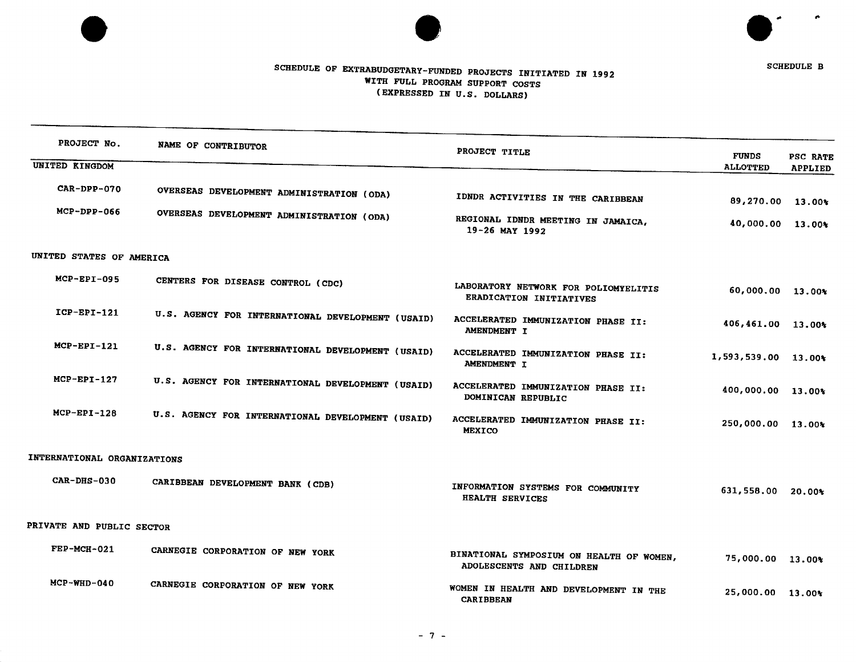



SCHEDULE B

# S*C*HED*U*LE *O*F E*X*TR*ABUD*GETARY-*FUND*E*D* PR*O*JE*C*TS I*N*ITIATE*D* I*N* 1*992* WITH *FUL*L P*RO*G*RAM* S*U*PPO**R**T *C*OSTS *(*E*XP*R**E**SSE*D* I*N U.*S*. DO*L*I*\_*AR*S*)*

| PROJECT No.                 | NAME OF CONTRIBUTOR                               | PROJECT TITLE                                                        | <b>FUNDS</b>        | PSC RATE       |
|-----------------------------|---------------------------------------------------|----------------------------------------------------------------------|---------------------|----------------|
| <b>UNITED KINGDOM</b>       |                                                   |                                                                      | <b>ALLOTTED</b>     | <b>APPLIED</b> |
| CAR-DPP-070                 | OVERSEAS DEVELOPMENT ADMINISTRATION (ODA)         | IDNDR ACTIVITIES IN THE CARIBBEAN                                    | 89,270.00 13.00%    |                |
| $MCP-DPP-066$               | OVERSEAS DEVELOPMENT ADMINISTRATION (ODA)         | REGIONAL IDNDR MEETING IN JAMAICA,<br>19-26 MAY 1992                 | 40,000.00 13.00%    |                |
| UNITED STATES OF AMERICA    |                                                   |                                                                      |                     |                |
| $MCP-EPI-095$               | CENTERS FOR DISEASE CONTROL (CDC)                 | LABORATORY NETWORK FOR POLIOMYELITIS<br>ERADICATION INITIATIVES      | 60,000.00 13.00%    |                |
| $ICP-EPI-121$               | U.S. AGENCY FOR INTERNATIONAL DEVELOPMENT (USAID) | ACCELERATED IMMUNIZATION PHASE II:<br>AMENDMENT I                    | 406,461.00 13.00%   |                |
| $MCP-EPI-121$               | U.S. AGENCY FOR INTERNATIONAL DEVELOPMENT (USAID) | ACCELERATED IMMUNIZATION PHASE II:<br><b>AMENDMENT I</b>             | 1,593,539.00 13.00% |                |
| $MCP-EPI-127$               | U.S. AGENCY FOR INTERNATIONAL DEVELOPMENT (USAID) | ACCELERATED IMMUNIZATION PHASE II:<br>DOMINICAN REPUBLIC             | 400,000.00 13.00%   |                |
| $MCP-EPI-128$               | U.S. AGENCY FOR INTERNATIONAL DEVELOPMENT (USAID) | ACCELERATED IMMUNIZATION PHASE II:<br><b>MEXICO</b>                  | 250,000.00 13.00%   |                |
| INTERNATIONAL ORGANIZATIONS |                                                   |                                                                      |                     |                |
| $CAR-DHS-030$               | CARIBBEAN DEVELOPMENT BANK (CDB)                  | INFORMATION SYSTEMS FOR COMMUNITY<br>HEALTH SERVICES                 | 631,558.00 20.00%   |                |
| PRIVATE AND PUBLIC SECTOR   |                                                   |                                                                      |                     |                |
| $FEP-MCH-021$               | CARNEGIE CORPORATION OF NEW YORK                  | BINATIONAL SYMPOSIUM ON HEALTH OF WOMEN,<br>ADOLESCENTS AND CHILDREN | 75,000.00 13.00%    |                |
| $MCP-WHD-040$               | CARNEGIE CORPORATION OF NEW YORK                  | WOMEN IN HEALTH AND DEVELOPMENT IN THE<br><b>CARIBBEAN</b>           | 25,000.00 13.00%    |                |